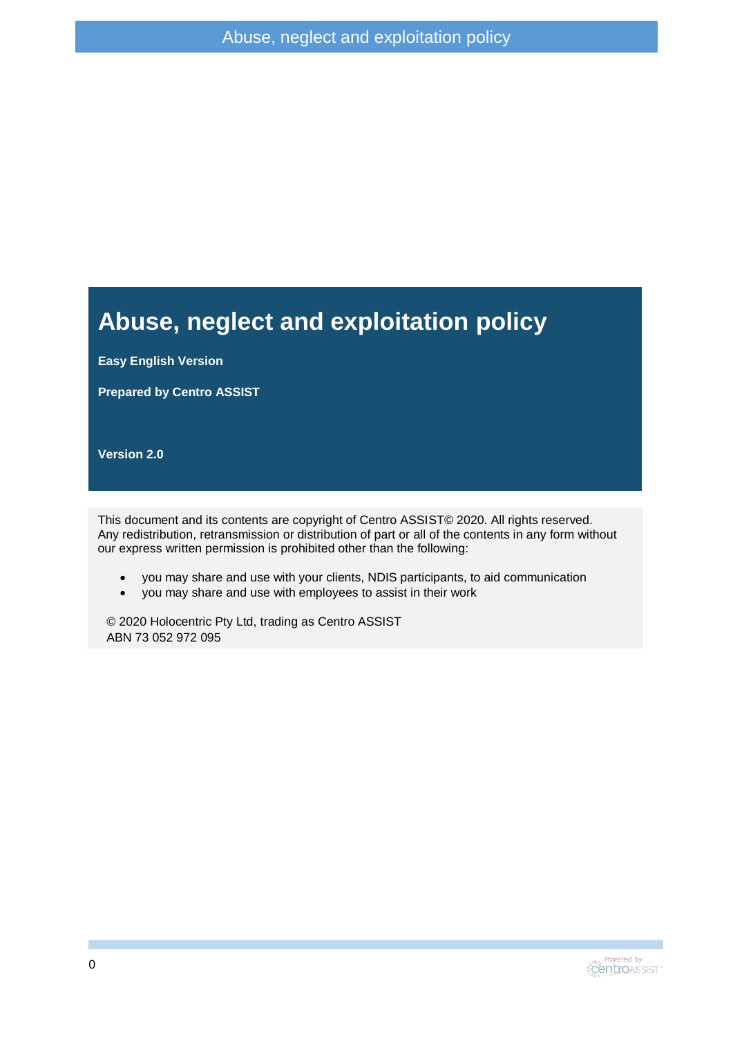#### **Abuse, neglect and exploitation policy**

**Easy English Version**

**Prepared by Centro ASSIST**

**Version 2.0**

This document and its contents are copyright of Centro ASSIST© 2020. All rights reserved. Any redistribution, retransmission or distribution of part or all of the contents in any form without our express written permission is prohibited other than the following:

- you may share and use with your clients, NDIS participants, to aid communication
- you may share and use with employees to assist in their work

© 2020 Holocentric Pty Ltd, trading as Centro ASSIST ABN 73 052 972 095

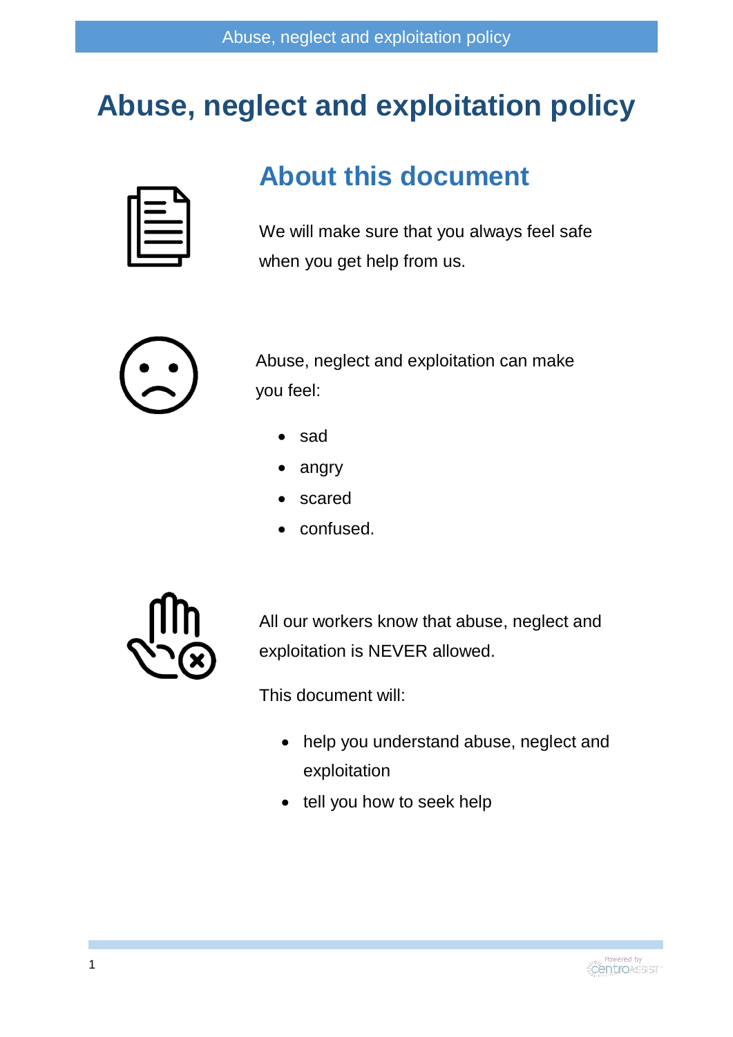# **Abuse, neglect and exploitation policy**



#### **About this document**

We will make sure that you always feel safe when you get help from us.



Abuse, neglect and exploitation can make you feel:

- sad
- angry
- scared
- confused.



All our workers know that abuse, neglect and exploitation is NEVER allowed.

This document will:

- help you understand abuse, neglect and exploitation
- tell you how to seek help

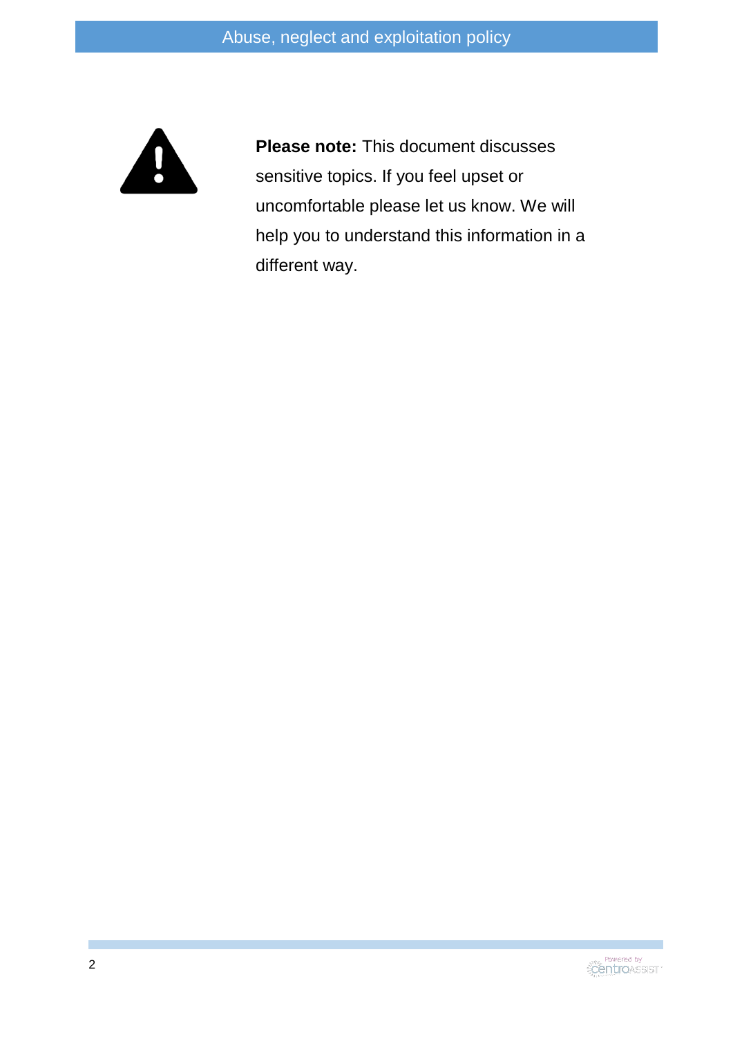

**Please note:** This document discusses sensitive topics. If you feel upset or uncomfortable please let us know. We will help you to understand this information in a different way.

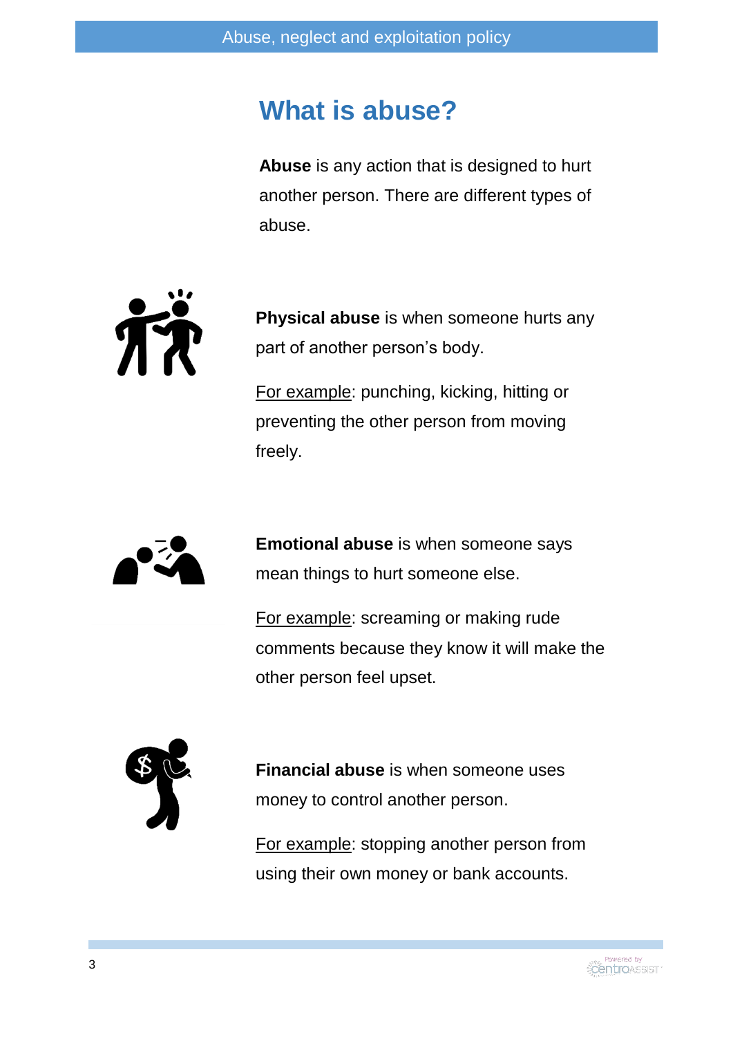#### **What is abuse?**

**Abuse** is any action that is designed to hurt another person. There are different types of abuse.



**Physical abuse** is when someone hurts any part of another person's body.

For example: punching, kicking, hitting or preventing the other person from moving freely.



**Emotional abuse** is when someone says mean things to hurt someone else.

For example: screaming or making rude comments because they know it will make the other person feel upset.



**Financial abuse** is when someone uses money to control another person.

For example: stopping another person from using their own money or bank accounts.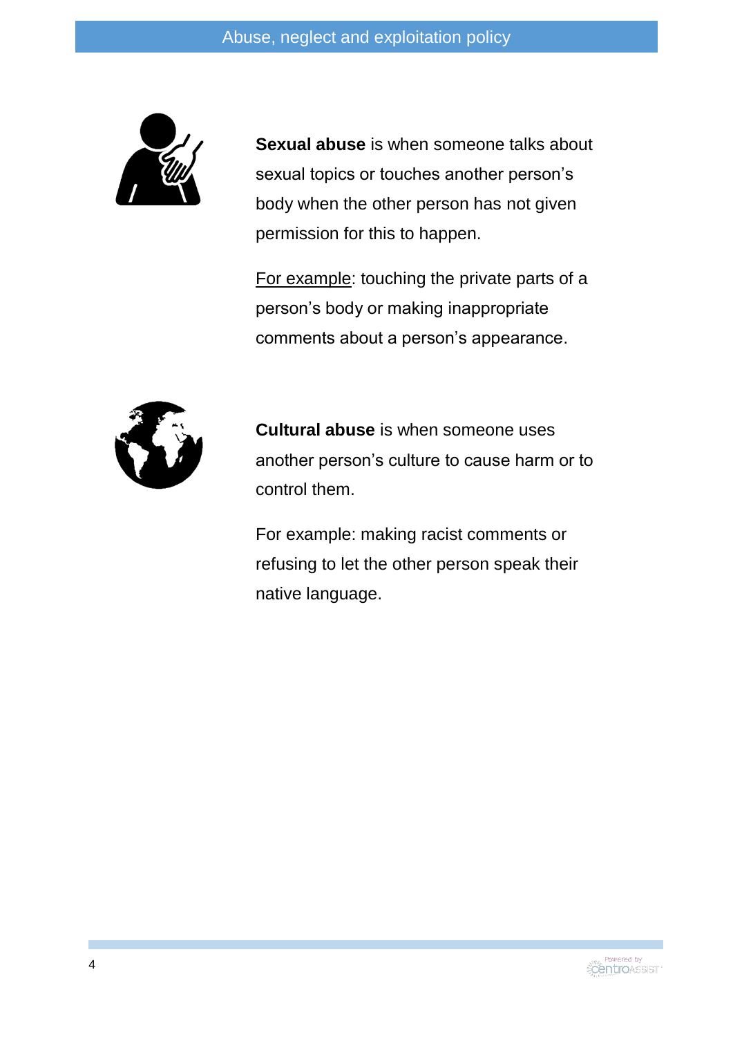

**Sexual abuse** is when someone talks about sexual topics or touches another person's body when the other person has not given permission for this to happen.

For example: touching the private parts of a person's body or making inappropriate comments about a person's appearance.



**Cultural abuse** is when someone uses another person's culture to cause harm or to control them.

For example: making racist comments or refusing to let the other person speak their native language.

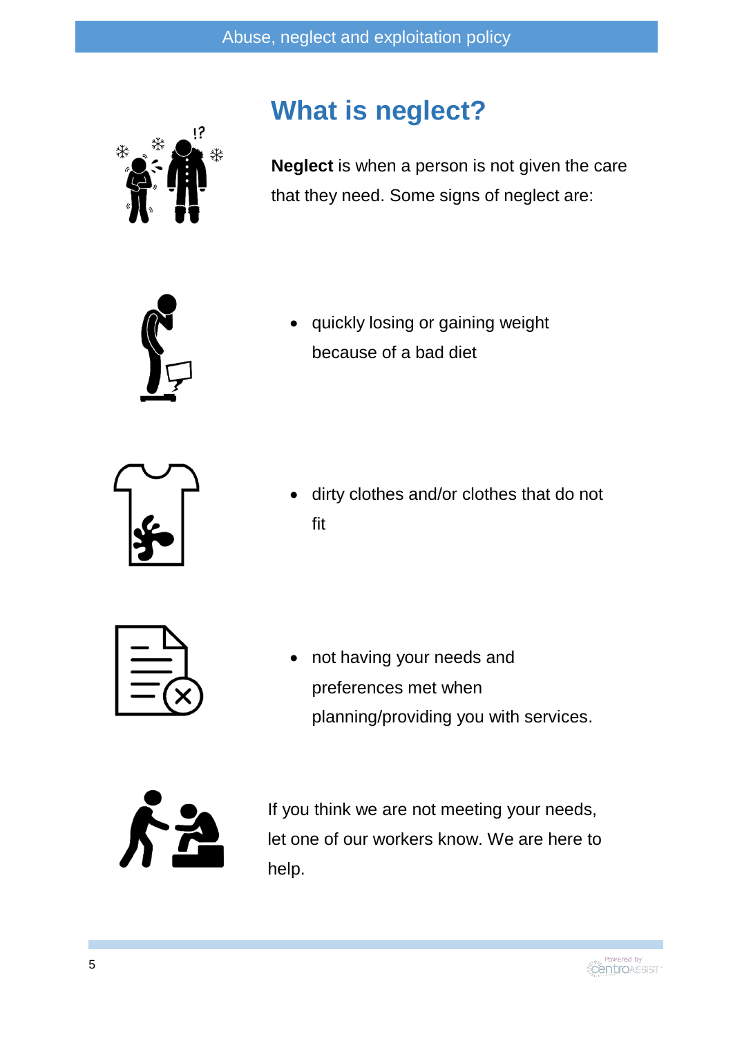

### **What is neglect?**

**Neglect** is when a person is not given the care that they need. Some signs of neglect are:



 quickly losing or gaining weight because of a bad diet



 dirty clothes and/or clothes that do not fit



 not having your needs and preferences met when planning/providing you with services.



If you think we are not meeting your needs, let one of our workers know. We are here to help.

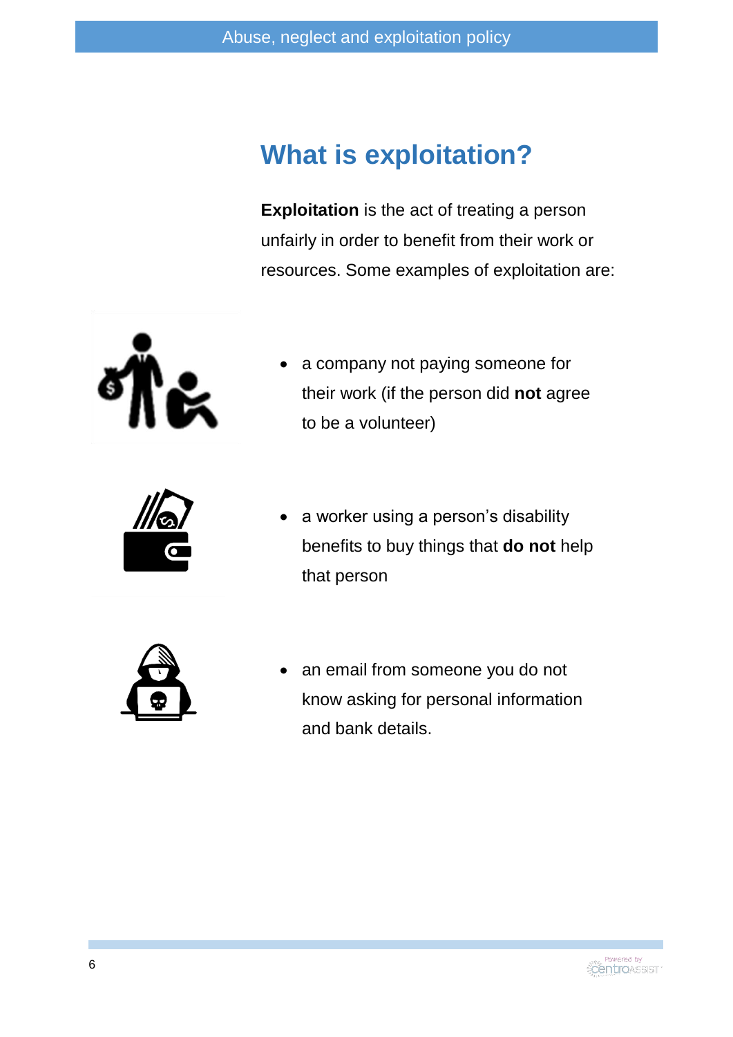### **What is exploitation?**

**Exploitation** is the act of treating a person unfairly in order to benefit from their work or resources. Some examples of exploitation are:



 a company not paying someone for their work (if the person did **not** agree to be a volunteer)



 a worker using a person's disability benefits to buy things that **do not** help that person



 an email from someone you do not know asking for personal information and bank details.

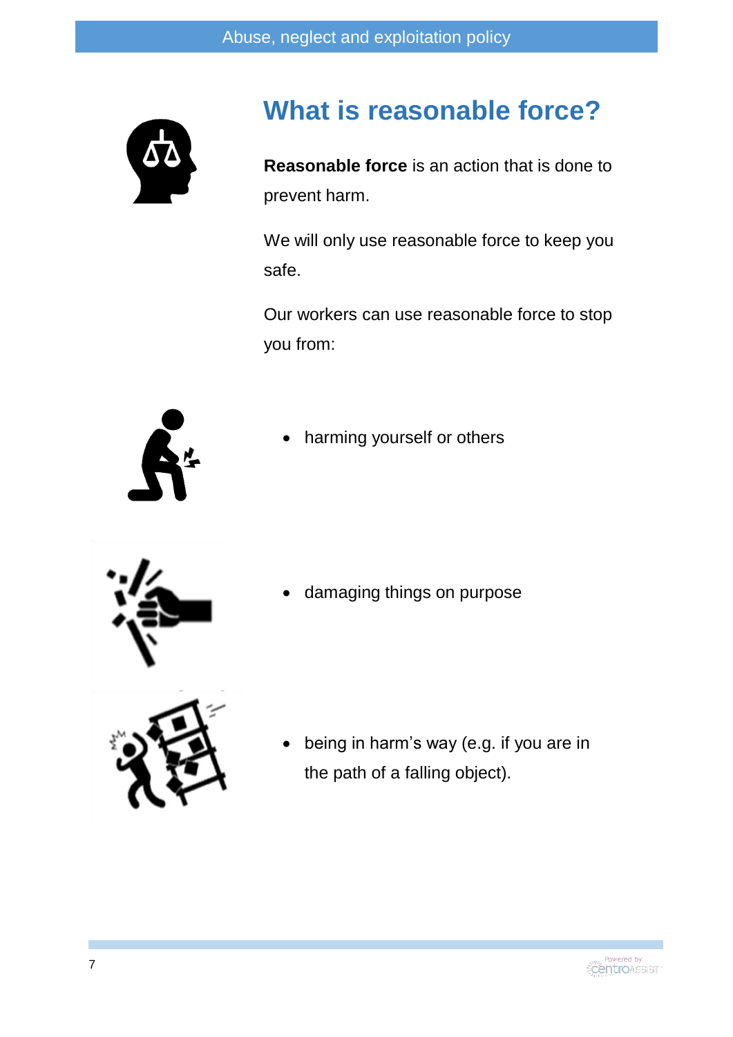

### **What is reasonable force?**

**Reasonable force** is an action that is done to prevent harm.

We will only use reasonable force to keep you safe.

Our workers can use reasonable force to stop you from:



harming yourself or others



damaging things on purpose



 being in harm's way (e.g. if you are in the path of a falling object).

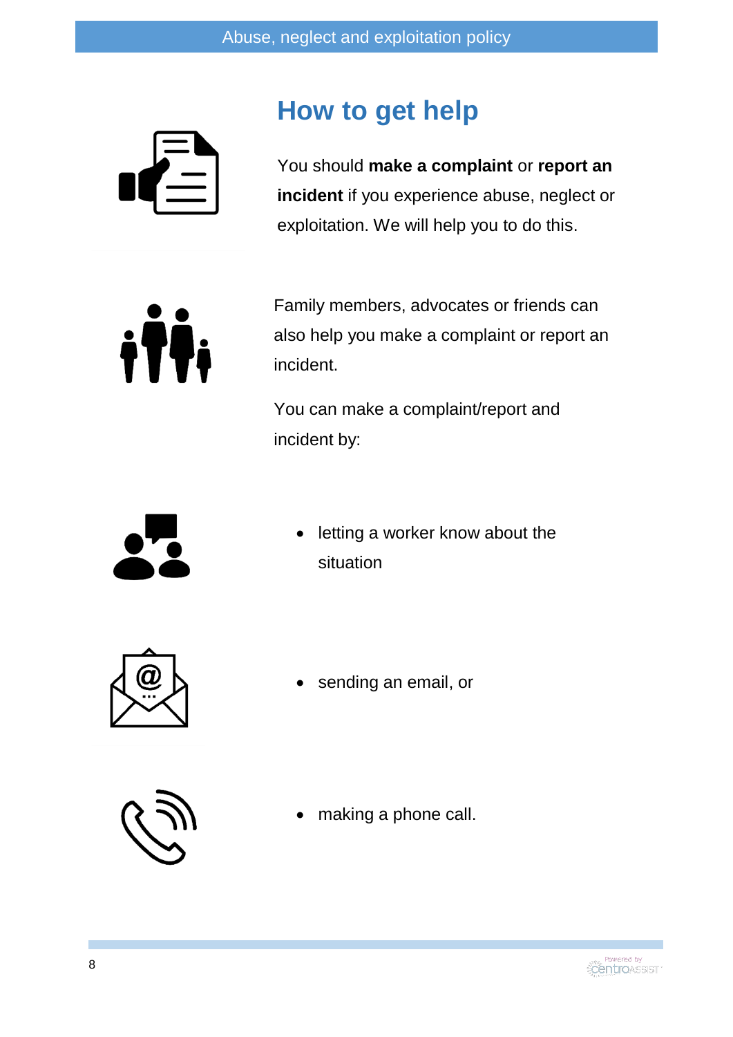

## **How to get help**

You should **make a complaint** or **report an incident** if you experience abuse, neglect or exploitation. We will help you to do this.

ith

Family members, advocates or friends can also help you make a complaint or report an incident.

You can make a complaint/report and incident by:



 letting a worker know about the situation



sending an email, or



making a phone call.